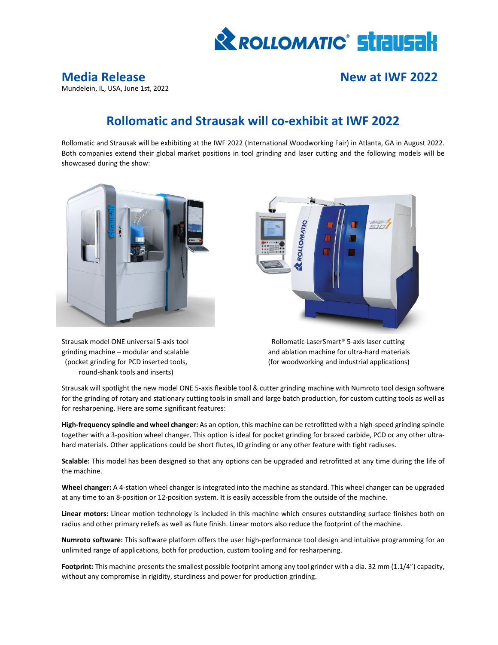

# Mundelein, IL, USA, June 1st, 2022

**Media Release New at IWF 2022**

## **Rollomatic and Strausak will co‐exhibit at IWF 2022**

Rollomatic and Strausak will be exhibiting at the IWF 2022 (International Woodworking Fair) in Atlanta, GA in August 2022. Both companies extend their global market positions in tool grinding and laser cutting and the following models will be showcased during the show:



round‐shank tools and inserts)



Strausak model ONE universal 5-axis tool **Rollomatic LaserSmart®** 5-axis laser cutting grinding machine – modular and scalable and ablation machine for ultra-hard materials (pocket grinding for PCD inserted tools, (for woodworking and industrial applications)

Strausak will spotlight the new model ONE 5‐axis flexible tool & cutter grinding machine with Numroto tool design software for the grinding of rotary and stationary cutting tools in small and large batch production, for custom cutting tools as well as for resharpening. Here are some significant features:

**High‐frequency spindle and wheel changer:** As an option, this machine can be retrofitted with a high‐speed grinding spindle together with a 3-position wheel changer. This option is ideal for pocket grinding for brazed carbide, PCD or any other ultrahard materials. Other applications could be short flutes, ID grinding or any other feature with tight radiuses.

**Scalable:** This model has been designed so that any options can be upgraded and retrofitted at any time during the life of the machine.

**Wheel changer:** A 4‐station wheel changer is integrated into the machine as standard. This wheel changer can be upgraded at any time to an 8‐position or 12‐position system. It is easily accessible from the outside of the machine.

**Linear motors:** Linear motion technology is included in this machine which ensures outstanding surface finishes both on radius and other primary reliefs as well as flute finish. Linear motors also reduce the footprint of the machine.

**Numroto software:** This software platform offers the user high‐performance tool design and intuitive programming for an unlimited range of applications, both for production, custom tooling and for resharpening.

**Footprint:** This machine presents the smallest possible footprint among any tool grinder with a dia. 32 mm (1.1/4") capacity, without any compromise in rigidity, sturdiness and power for production grinding.